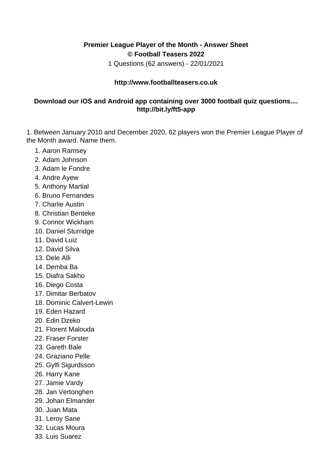## **Premier League Player of the Month - Answer Sheet © Football Teasers 2022**

1 Questions (62 answers) - 22/01/2021

## **http://www.footballteasers.co.uk**

## **Download our iOS and Android app containing over 3000 football quiz questions.... http://bit.ly/ft5-app**

1. Between January 2010 and December 2020, 62 players won the Premier League Player of the Month award. Name them.

- 1. Aaron Ramsey
- 2. Adam Johnson
- 3. Adam le Fondre
- 4. Andre Ayew
- 5. Anthony Martial
- 6. Bruno Fernandes
- 7. Charlie Austin
- 8. Christian Benteke
- 9. Connor Wickham
- 10. Daniel Sturridge
- 11. David Luiz
- 12. David Silva
- 13. Dele Alli
- 14. Demba Ba
- 15. Diafra Sakho
- 16. Diego Costa
- 17. Dimitar Berbatov
- 18. Dominic Calvert-Lewin
- 19. Eden Hazard
- 20. Edin Dzeko
- 21. Florent Malouda
- 22. Fraser Forster
- 23. Gareth Bale
- 24. Graziano Pelle
- 25. Gylfi Sigurdsson
- 26. Harry Kane
- 27. Jamie Vardy
- 28. Jan Vertonghen
- 29. Johan Elmander
- 30. Juan Mata
- 31. Leroy Sane
- 32. Lucas Moura
- 33. Luis Suarez